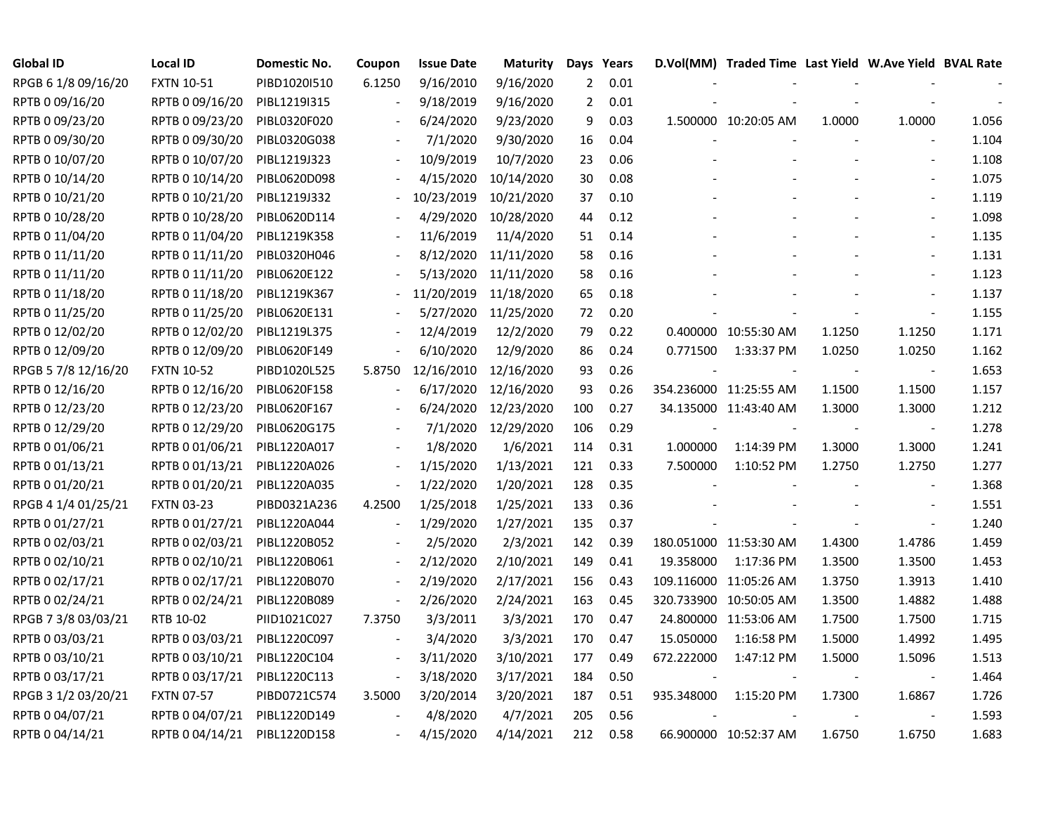| <b>Global ID</b>    | <b>Local ID</b>   | Domestic No. | Coupon         | <b>Issue Date</b> | <b>Maturity</b> |                | Days Years |            | D.Vol(MM) Traded Time Last Yield W.Ave Yield BVAL Rate |        |                          |       |
|---------------------|-------------------|--------------|----------------|-------------------|-----------------|----------------|------------|------------|--------------------------------------------------------|--------|--------------------------|-------|
| RPGB 6 1/8 09/16/20 | <b>FXTN 10-51</b> | PIBD1020I510 | 6.1250         | 9/16/2010         | 9/16/2020       | $\overline{2}$ | 0.01       |            |                                                        |        |                          |       |
| RPTB 0 09/16/20     | RPTB 0 09/16/20   | PIBL1219I315 |                | 9/18/2019         | 9/16/2020       | $\overline{2}$ | 0.01       |            |                                                        |        |                          |       |
| RPTB 0 09/23/20     | RPTB 0 09/23/20   | PIBL0320F020 |                | 6/24/2020         | 9/23/2020       | 9              | 0.03       |            | 1.500000 10:20:05 AM                                   | 1.0000 | 1.0000                   | 1.056 |
| RPTB 0 09/30/20     | RPTB 0 09/30/20   | PIBL0320G038 |                | 7/1/2020          | 9/30/2020       | 16             | 0.04       |            |                                                        |        |                          | 1.104 |
| RPTB 0 10/07/20     | RPTB 0 10/07/20   | PIBL1219J323 |                | 10/9/2019         | 10/7/2020       | 23             | 0.06       |            |                                                        |        |                          | 1.108 |
| RPTB 0 10/14/20     | RPTB 0 10/14/20   | PIBL0620D098 |                | 4/15/2020         | 10/14/2020      | 30             | 0.08       |            |                                                        |        |                          | 1.075 |
| RPTB 0 10/21/20     | RPTB 0 10/21/20   | PIBL1219J332 |                | 10/23/2019        | 10/21/2020      | 37             | 0.10       |            |                                                        |        |                          | 1.119 |
| RPTB 0 10/28/20     | RPTB 0 10/28/20   | PIBL0620D114 |                | 4/29/2020         | 10/28/2020      | 44             | 0.12       |            |                                                        |        |                          | 1.098 |
| RPTB 0 11/04/20     | RPTB 0 11/04/20   | PIBL1219K358 |                | 11/6/2019         | 11/4/2020       | 51             | 0.14       |            |                                                        |        | $\blacksquare$           | 1.135 |
| RPTB 0 11/11/20     | RPTB 0 11/11/20   | PIBL0320H046 |                | 8/12/2020         | 11/11/2020      | 58             | 0.16       |            |                                                        |        | $\blacksquare$           | 1.131 |
| RPTB 0 11/11/20     | RPTB 0 11/11/20   | PIBL0620E122 |                | 5/13/2020         | 11/11/2020      | 58             | 0.16       |            |                                                        |        | $\overline{\phantom{a}}$ | 1.123 |
| RPTB 0 11/18/20     | RPTB 0 11/18/20   | PIBL1219K367 |                | 11/20/2019        | 11/18/2020      | 65             | 0.18       |            |                                                        |        |                          | 1.137 |
| RPTB 0 11/25/20     | RPTB 0 11/25/20   | PIBL0620E131 |                | 5/27/2020         | 11/25/2020      | 72             | 0.20       |            |                                                        |        | $\overline{\phantom{a}}$ | 1.155 |
| RPTB 0 12/02/20     | RPTB 0 12/02/20   | PIBL1219L375 |                | 12/4/2019         | 12/2/2020       | 79             | 0.22       |            | 0.400000 10:55:30 AM                                   | 1.1250 | 1.1250                   | 1.171 |
| RPTB 0 12/09/20     | RPTB 0 12/09/20   | PIBL0620F149 |                | 6/10/2020         | 12/9/2020       | 86             | 0.24       | 0.771500   | 1:33:37 PM                                             | 1.0250 | 1.0250                   | 1.162 |
| RPGB 5 7/8 12/16/20 | <b>FXTN 10-52</b> | PIBD1020L525 | 5.8750         | 12/16/2010        | 12/16/2020      | 93             | 0.26       |            |                                                        |        |                          | 1.653 |
| RPTB 0 12/16/20     | RPTB 0 12/16/20   | PIBL0620F158 |                | 6/17/2020         | 12/16/2020      | 93             | 0.26       |            | 354.236000 11:25:55 AM                                 | 1.1500 | 1.1500                   | 1.157 |
| RPTB 0 12/23/20     | RPTB 0 12/23/20   | PIBL0620F167 |                | 6/24/2020         | 12/23/2020      | 100            | 0.27       |            | 34.135000 11:43:40 AM                                  | 1.3000 | 1.3000                   | 1.212 |
| RPTB 0 12/29/20     | RPTB 0 12/29/20   | PIBL0620G175 | $\sim$         | 7/1/2020          | 12/29/2020      | 106            | 0.29       |            |                                                        |        | $\overline{\phantom{a}}$ | 1.278 |
| RPTB 0 01/06/21     | RPTB 0 01/06/21   | PIBL1220A017 |                | 1/8/2020          | 1/6/2021        | 114            | 0.31       | 1.000000   | 1:14:39 PM                                             | 1.3000 | 1.3000                   | 1.241 |
| RPTB 0 01/13/21     | RPTB 0 01/13/21   | PIBL1220A026 |                | 1/15/2020         | 1/13/2021       | 121            | 0.33       | 7.500000   | 1:10:52 PM                                             | 1.2750 | 1.2750                   | 1.277 |
| RPTB 0 01/20/21     | RPTB 0 01/20/21   | PIBL1220A035 | $\blacksquare$ | 1/22/2020         | 1/20/2021       | 128            | 0.35       |            |                                                        |        | $\blacksquare$           | 1.368 |
| RPGB 4 1/4 01/25/21 | <b>FXTN 03-23</b> | PIBD0321A236 | 4.2500         | 1/25/2018         | 1/25/2021       | 133            | 0.36       |            |                                                        |        | $\blacksquare$           | 1.551 |
| RPTB 0 01/27/21     | RPTB 0 01/27/21   | PIBL1220A044 |                | 1/29/2020         | 1/27/2021       | 135            | 0.37       |            |                                                        |        | $\blacksquare$           | 1.240 |
| RPTB 0 02/03/21     | RPTB 0 02/03/21   | PIBL1220B052 |                | 2/5/2020          | 2/3/2021        | 142            | 0.39       |            | 180.051000 11:53:30 AM                                 | 1.4300 | 1.4786                   | 1.459 |
| RPTB 0 02/10/21     | RPTB 0 02/10/21   | PIBL1220B061 |                | 2/12/2020         | 2/10/2021       | 149            | 0.41       | 19.358000  | 1:17:36 PM                                             | 1.3500 | 1.3500                   | 1.453 |
| RPTB 0 02/17/21     | RPTB 0 02/17/21   | PIBL1220B070 |                | 2/19/2020         | 2/17/2021       | 156            | 0.43       |            | 109.116000 11:05:26 AM                                 | 1.3750 | 1.3913                   | 1.410 |
| RPTB 0 02/24/21     | RPTB 0 02/24/21   | PIBL1220B089 |                | 2/26/2020         | 2/24/2021       | 163            | 0.45       |            | 320.733900 10:50:05 AM                                 | 1.3500 | 1.4882                   | 1.488 |
| RPGB 7 3/8 03/03/21 | RTB 10-02         | PIID1021C027 | 7.3750         | 3/3/2011          | 3/3/2021        | 170            | 0.47       |            | 24.800000 11:53:06 AM                                  | 1.7500 | 1.7500                   | 1.715 |
| RPTB 0 03/03/21     | RPTB 0 03/03/21   | PIBL1220C097 |                | 3/4/2020          | 3/3/2021        | 170            | 0.47       | 15.050000  | 1:16:58 PM                                             | 1.5000 | 1.4992                   | 1.495 |
| RPTB 0 03/10/21     | RPTB 0 03/10/21   | PIBL1220C104 |                | 3/11/2020         | 3/10/2021       | 177            | 0.49       | 672.222000 | 1:47:12 PM                                             | 1.5000 | 1.5096                   | 1.513 |
| RPTB 0 03/17/21     | RPTB 0 03/17/21   | PIBL1220C113 |                | 3/18/2020         | 3/17/2021       | 184            | 0.50       |            |                                                        |        | $\overline{\phantom{a}}$ | 1.464 |
| RPGB 3 1/2 03/20/21 | <b>FXTN 07-57</b> | PIBD0721C574 | 3.5000         | 3/20/2014         | 3/20/2021       | 187            | 0.51       | 935.348000 | 1:15:20 PM                                             | 1.7300 | 1.6867                   | 1.726 |
| RPTB 0 04/07/21     | RPTB 0 04/07/21   | PIBL1220D149 |                | 4/8/2020          | 4/7/2021        | 205            | 0.56       |            |                                                        |        | $\overline{\phantom{a}}$ | 1.593 |
| RPTB 0 04/14/21     | RPTB 0 04/14/21   | PIBL1220D158 |                | 4/15/2020         | 4/14/2021       | 212            | 0.58       |            | 66.900000 10:52:37 AM                                  | 1.6750 | 1.6750                   | 1.683 |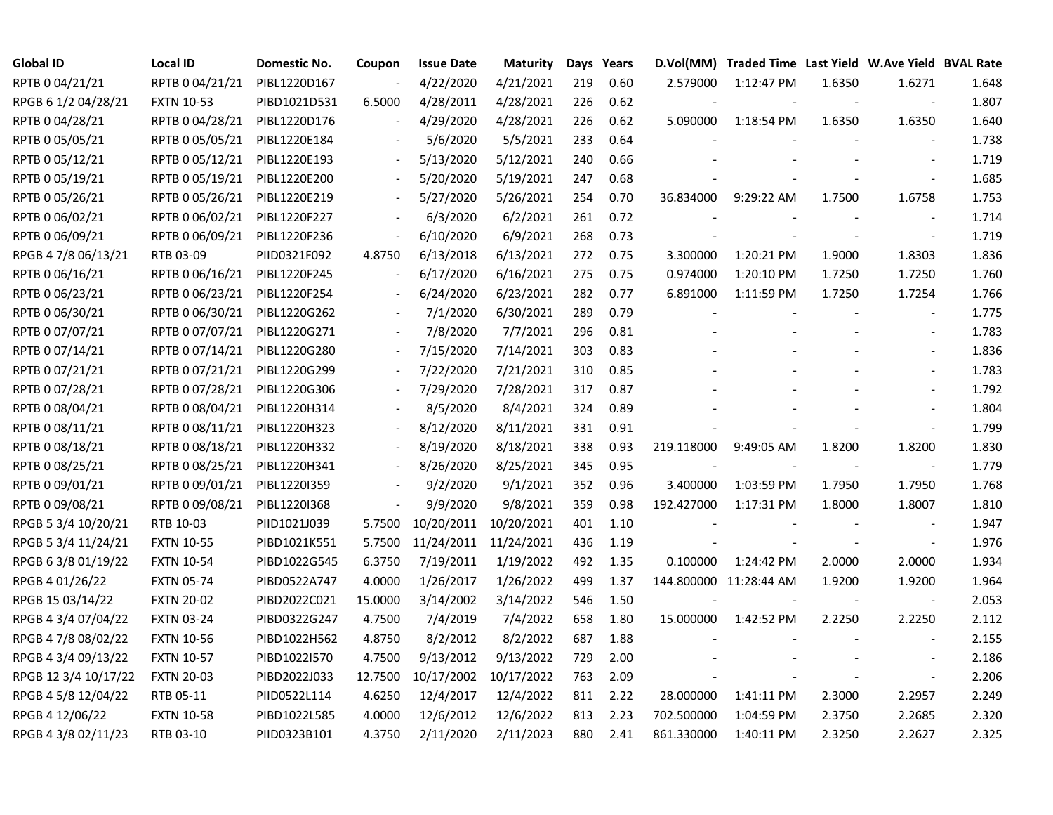| Global ID            | <b>Local ID</b>   | Domestic No. | Coupon                   | <b>Issue Date</b>     | <b>Maturity</b> |     | Days Years | D.Vol(MM)  | Traded Time Last Yield W.Ave Yield BVAL Rate |        |                          |       |
|----------------------|-------------------|--------------|--------------------------|-----------------------|-----------------|-----|------------|------------|----------------------------------------------|--------|--------------------------|-------|
| RPTB 0 04/21/21      | RPTB 0 04/21/21   | PIBL1220D167 |                          | 4/22/2020             | 4/21/2021       | 219 | 0.60       | 2.579000   | 1:12:47 PM                                   | 1.6350 | 1.6271                   | 1.648 |
| RPGB 6 1/2 04/28/21  | <b>FXTN 10-53</b> | PIBD1021D531 | 6.5000                   | 4/28/2011             | 4/28/2021       | 226 | 0.62       |            |                                              |        | $\sim$                   | 1.807 |
| RPTB 0 04/28/21      | RPTB 0 04/28/21   | PIBL1220D176 |                          | 4/29/2020             | 4/28/2021       | 226 | 0.62       | 5.090000   | 1:18:54 PM                                   | 1.6350 | 1.6350                   | 1.640 |
| RPTB 0 05/05/21      | RPTB 0 05/05/21   | PIBL1220E184 |                          | 5/6/2020              | 5/5/2021        | 233 | 0.64       |            |                                              |        |                          | 1.738 |
| RPTB 0 05/12/21      | RPTB 0 05/12/21   | PIBL1220E193 | $\overline{\phantom{a}}$ | 5/13/2020             | 5/12/2021       | 240 | 0.66       |            |                                              |        |                          | 1.719 |
| RPTB 0 05/19/21      | RPTB 0 05/19/21   | PIBL1220E200 | $\blacksquare$           | 5/20/2020             | 5/19/2021       | 247 | 0.68       |            |                                              |        |                          | 1.685 |
| RPTB 0 05/26/21      | RPTB 0 05/26/21   | PIBL1220E219 |                          | 5/27/2020             | 5/26/2021       | 254 | 0.70       | 36.834000  | 9:29:22 AM                                   | 1.7500 | 1.6758                   | 1.753 |
| RPTB 0 06/02/21      | RPTB 0 06/02/21   | PIBL1220F227 |                          | 6/3/2020              | 6/2/2021        | 261 | 0.72       |            |                                              |        |                          | 1.714 |
| RPTB 0 06/09/21      | RPTB 0 06/09/21   | PIBL1220F236 |                          | 6/10/2020             | 6/9/2021        | 268 | 0.73       |            |                                              |        | $\sim$                   | 1.719 |
| RPGB 4 7/8 06/13/21  | RTB 03-09         | PIID0321F092 | 4.8750                   | 6/13/2018             | 6/13/2021       | 272 | 0.75       | 3.300000   | 1:20:21 PM                                   | 1.9000 | 1.8303                   | 1.836 |
| RPTB 0 06/16/21      | RPTB 0 06/16/21   | PIBL1220F245 |                          | 6/17/2020             | 6/16/2021       | 275 | 0.75       | 0.974000   | 1:20:10 PM                                   | 1.7250 | 1.7250                   | 1.760 |
| RPTB 0 06/23/21      | RPTB 0 06/23/21   | PIBL1220F254 | $\overline{\phantom{a}}$ | 6/24/2020             | 6/23/2021       | 282 | 0.77       | 6.891000   | 1:11:59 PM                                   | 1.7250 | 1.7254                   | 1.766 |
| RPTB 0 06/30/21      | RPTB 0 06/30/21   | PIBL1220G262 |                          | 7/1/2020              | 6/30/2021       | 289 | 0.79       |            |                                              |        | $\sim$                   | 1.775 |
| RPTB 0 07/07/21      | RPTB 0 07/07/21   | PIBL1220G271 |                          | 7/8/2020              | 7/7/2021        | 296 | 0.81       |            |                                              |        |                          | 1.783 |
| RPTB 0 07/14/21      | RPTB 0 07/14/21   | PIBL1220G280 |                          | 7/15/2020             | 7/14/2021       | 303 | 0.83       |            |                                              |        |                          | 1.836 |
| RPTB 0 07/21/21      | RPTB 0 07/21/21   | PIBL1220G299 |                          | 7/22/2020             | 7/21/2021       | 310 | 0.85       |            |                                              |        |                          | 1.783 |
| RPTB 0 07/28/21      | RPTB 0 07/28/21   | PIBL1220G306 |                          | 7/29/2020             | 7/28/2021       | 317 | 0.87       |            |                                              |        |                          | 1.792 |
| RPTB 0 08/04/21      | RPTB 0 08/04/21   | PIBL1220H314 | $\overline{\phantom{a}}$ | 8/5/2020              | 8/4/2021        | 324 | 0.89       |            |                                              |        |                          | 1.804 |
| RPTB 0 08/11/21      | RPTB 0 08/11/21   | PIBL1220H323 | $\overline{\phantom{a}}$ | 8/12/2020             | 8/11/2021       | 331 | 0.91       |            |                                              |        | $\sim$                   | 1.799 |
| RPTB 0 08/18/21      | RPTB 0 08/18/21   | PIBL1220H332 | $\overline{\phantom{a}}$ | 8/19/2020             | 8/18/2021       | 338 | 0.93       | 219.118000 | 9:49:05 AM                                   | 1.8200 | 1.8200                   | 1.830 |
| RPTB 0 08/25/21      | RPTB 0 08/25/21   | PIBL1220H341 |                          | 8/26/2020             | 8/25/2021       | 345 | 0.95       |            |                                              |        | $\blacksquare$           | 1.779 |
| RPTB 0 09/01/21      | RPTB 0 09/01/21   | PIBL12201359 |                          | 9/2/2020              | 9/1/2021        | 352 | 0.96       | 3.400000   | 1:03:59 PM                                   | 1.7950 | 1.7950                   | 1.768 |
| RPTB 0 09/08/21      | RPTB 0 09/08/21   | PIBL1220I368 | $\overline{\phantom{a}}$ | 9/9/2020              | 9/8/2021        | 359 | 0.98       | 192.427000 | 1:17:31 PM                                   | 1.8000 | 1.8007                   | 1.810 |
| RPGB 5 3/4 10/20/21  | RTB 10-03         | PIID1021J039 | 5.7500                   | 10/20/2011            | 10/20/2021      | 401 | 1.10       |            |                                              |        | $\blacksquare$           | 1.947 |
| RPGB 5 3/4 11/24/21  | <b>FXTN 10-55</b> | PIBD1021K551 | 5.7500                   | 11/24/2011 11/24/2021 |                 | 436 | 1.19       |            |                                              |        | $\blacksquare$           | 1.976 |
| RPGB 63/8 01/19/22   | <b>FXTN 10-54</b> | PIBD1022G545 | 6.3750                   | 7/19/2011             | 1/19/2022       | 492 | 1.35       | 0.100000   | 1:24:42 PM                                   | 2.0000 | 2.0000                   | 1.934 |
| RPGB 4 01/26/22      | <b>FXTN 05-74</b> | PIBD0522A747 | 4.0000                   | 1/26/2017             | 1/26/2022       | 499 | 1.37       |            | 144.800000 11:28:44 AM                       | 1.9200 | 1.9200                   | 1.964 |
| RPGB 15 03/14/22     | <b>FXTN 20-02</b> | PIBD2022C021 | 15.0000                  | 3/14/2002             | 3/14/2022       | 546 | 1.50       |            |                                              |        |                          | 2.053 |
| RPGB 4 3/4 07/04/22  | <b>FXTN 03-24</b> | PIBD0322G247 | 4.7500                   | 7/4/2019              | 7/4/2022        | 658 | 1.80       | 15.000000  | 1:42:52 PM                                   | 2.2250 | 2.2250                   | 2.112 |
| RPGB 4 7/8 08/02/22  | <b>FXTN 10-56</b> | PIBD1022H562 | 4.8750                   | 8/2/2012              | 8/2/2022        | 687 | 1.88       |            |                                              |        |                          | 2.155 |
| RPGB 4 3/4 09/13/22  | <b>FXTN 10-57</b> | PIBD1022I570 | 4.7500                   | 9/13/2012             | 9/13/2022       | 729 | 2.00       |            |                                              |        |                          | 2.186 |
| RPGB 12 3/4 10/17/22 | <b>FXTN 20-03</b> | PIBD2022J033 | 12.7500                  | 10/17/2002            | 10/17/2022      | 763 | 2.09       |            |                                              |        | $\overline{\phantom{a}}$ | 2.206 |
| RPGB 4 5/8 12/04/22  | RTB 05-11         | PIID0522L114 | 4.6250                   | 12/4/2017             | 12/4/2022       | 811 | 2.22       | 28.000000  | 1:41:11 PM                                   | 2.3000 | 2.2957                   | 2.249 |
| RPGB 4 12/06/22      | <b>FXTN 10-58</b> | PIBD1022L585 | 4.0000                   | 12/6/2012             | 12/6/2022       | 813 | 2.23       | 702.500000 | 1:04:59 PM                                   | 2.3750 | 2.2685                   | 2.320 |
| RPGB 4 3/8 02/11/23  | RTB 03-10         | PIID0323B101 | 4.3750                   | 2/11/2020             | 2/11/2023       | 880 | 2.41       | 861.330000 | 1:40:11 PM                                   | 2.3250 | 2.2627                   | 2.325 |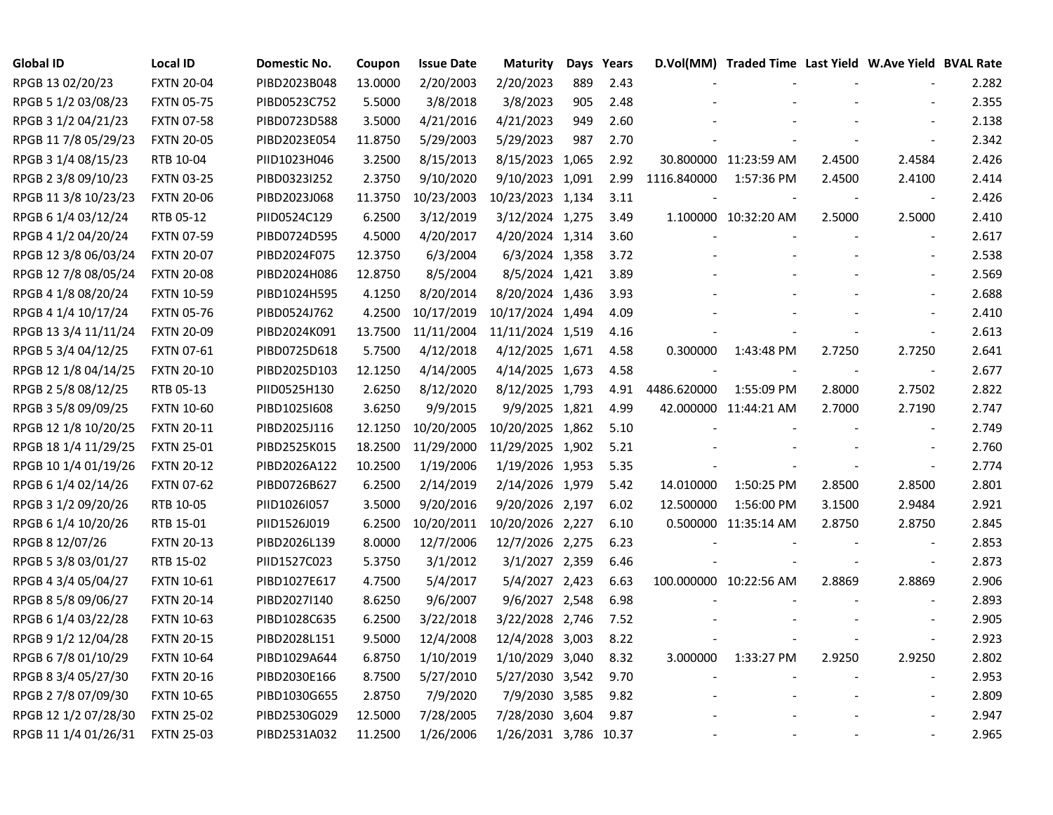| <b>Global ID</b>     | <b>Local ID</b>   | Domestic No. | Coupon  | <b>Issue Date</b> | <b>Maturity</b>       | Days | Years |             | D.Vol(MM) Traded Time Last Yield W.Ave Yield BVAL Rate |        |                          |       |
|----------------------|-------------------|--------------|---------|-------------------|-----------------------|------|-------|-------------|--------------------------------------------------------|--------|--------------------------|-------|
| RPGB 13 02/20/23     | <b>FXTN 20-04</b> | PIBD2023B048 | 13.0000 | 2/20/2003         | 2/20/2023             | 889  | 2.43  |             |                                                        |        |                          | 2.282 |
| RPGB 5 1/2 03/08/23  | <b>FXTN 05-75</b> | PIBD0523C752 | 5.5000  | 3/8/2018          | 3/8/2023              | 905  | 2.48  |             |                                                        |        |                          | 2.355 |
| RPGB 3 1/2 04/21/23  | <b>FXTN 07-58</b> | PIBD0723D588 | 3.5000  | 4/21/2016         | 4/21/2023             | 949  | 2.60  |             |                                                        |        |                          | 2.138 |
| RPGB 11 7/8 05/29/23 | <b>FXTN 20-05</b> | PIBD2023E054 | 11.8750 | 5/29/2003         | 5/29/2023             | 987  | 2.70  |             |                                                        |        | $\overline{\phantom{a}}$ | 2.342 |
| RPGB 3 1/4 08/15/23  | RTB 10-04         | PIID1023H046 | 3.2500  | 8/15/2013         | 8/15/2023 1,065       |      | 2.92  |             | 30.800000 11:23:59 AM                                  | 2.4500 | 2.4584                   | 2.426 |
| RPGB 2 3/8 09/10/23  | <b>FXTN 03-25</b> | PIBD0323I252 | 2.3750  | 9/10/2020         | 9/10/2023 1,091       |      | 2.99  | 1116.840000 | 1:57:36 PM                                             | 2.4500 | 2.4100                   | 2.414 |
| RPGB 11 3/8 10/23/23 | <b>FXTN 20-06</b> | PIBD2023J068 | 11.3750 | 10/23/2003        | 10/23/2023 1,134      |      | 3.11  |             |                                                        |        | $\blacksquare$           | 2.426 |
| RPGB 6 1/4 03/12/24  | RTB 05-12         | PIID0524C129 | 6.2500  | 3/12/2019         | 3/12/2024 1,275       |      | 3.49  |             | 1.100000 10:32:20 AM                                   | 2.5000 | 2.5000                   | 2.410 |
| RPGB 4 1/2 04/20/24  | <b>FXTN 07-59</b> | PIBD0724D595 | 4.5000  | 4/20/2017         | 4/20/2024 1,314       |      | 3.60  |             |                                                        |        | $\sim$                   | 2.617 |
| RPGB 12 3/8 06/03/24 | <b>FXTN 20-07</b> | PIBD2024F075 | 12.3750 | 6/3/2004          | 6/3/2024 1,358        |      | 3.72  |             |                                                        |        | $\sim$                   | 2.538 |
| RPGB 12 7/8 08/05/24 | <b>FXTN 20-08</b> | PIBD2024H086 | 12.8750 | 8/5/2004          | 8/5/2024 1,421        |      | 3.89  |             |                                                        |        | $\overline{\phantom{a}}$ | 2.569 |
| RPGB 4 1/8 08/20/24  | <b>FXTN 10-59</b> | PIBD1024H595 | 4.1250  | 8/20/2014         | 8/20/2024 1,436       |      | 3.93  |             |                                                        |        | $\overline{\phantom{a}}$ | 2.688 |
| RPGB 4 1/4 10/17/24  | <b>FXTN 05-76</b> | PIBD0524J762 | 4.2500  | 10/17/2019        | 10/17/2024 1,494      |      | 4.09  |             |                                                        |        | $\sim$                   | 2.410 |
| RPGB 13 3/4 11/11/24 | <b>FXTN 20-09</b> | PIBD2024K091 | 13.7500 | 11/11/2004        | 11/11/2024 1,519      |      | 4.16  |             |                                                        |        | $\overline{\phantom{a}}$ | 2.613 |
| RPGB 5 3/4 04/12/25  | <b>FXTN 07-61</b> | PIBD0725D618 | 5.7500  | 4/12/2018         | 4/12/2025 1,671       |      | 4.58  | 0.300000    | 1:43:48 PM                                             | 2.7250 | 2.7250                   | 2.641 |
| RPGB 12 1/8 04/14/25 | <b>FXTN 20-10</b> | PIBD2025D103 | 12.1250 | 4/14/2005         | 4/14/2025 1,673       |      | 4.58  |             |                                                        |        |                          | 2.677 |
| RPGB 2 5/8 08/12/25  | RTB 05-13         | PIID0525H130 | 2.6250  | 8/12/2020         | 8/12/2025 1,793       |      | 4.91  | 4486.620000 | 1:55:09 PM                                             | 2.8000 | 2.7502                   | 2.822 |
| RPGB 3 5/8 09/09/25  | <b>FXTN 10-60</b> | PIBD10251608 | 3.6250  | 9/9/2015          | 9/9/2025 1,821        |      | 4.99  |             | 42.000000 11:44:21 AM                                  | 2.7000 | 2.7190                   | 2.747 |
| RPGB 12 1/8 10/20/25 | <b>FXTN 20-11</b> | PIBD2025J116 | 12.1250 | 10/20/2005        | 10/20/2025 1,862      |      | 5.10  |             |                                                        |        | $\blacksquare$           | 2.749 |
| RPGB 18 1/4 11/29/25 | <b>FXTN 25-01</b> | PIBD2525K015 | 18.2500 | 11/29/2000        | 11/29/2025 1,902      |      | 5.21  |             |                                                        |        | $\overline{\phantom{a}}$ | 2.760 |
| RPGB 10 1/4 01/19/26 | <b>FXTN 20-12</b> | PIBD2026A122 | 10.2500 | 1/19/2006         | 1/19/2026 1,953       |      | 5.35  |             |                                                        |        | $\blacksquare$           | 2.774 |
| RPGB 6 1/4 02/14/26  | <b>FXTN 07-62</b> | PIBD0726B627 | 6.2500  | 2/14/2019         | 2/14/2026 1,979       |      | 5.42  | 14.010000   | 1:50:25 PM                                             | 2.8500 | 2.8500                   | 2.801 |
| RPGB 3 1/2 09/20/26  | RTB 10-05         | PIID1026I057 | 3.5000  | 9/20/2016         | 9/20/2026 2,197       |      | 6.02  | 12.500000   | 1:56:00 PM                                             | 3.1500 | 2.9484                   | 2.921 |
| RPGB 6 1/4 10/20/26  | RTB 15-01         | PIID1526J019 | 6.2500  | 10/20/2011        | 10/20/2026 2,227      |      | 6.10  |             | 0.500000 11:35:14 AM                                   | 2.8750 | 2.8750                   | 2.845 |
| RPGB 8 12/07/26      | <b>FXTN 20-13</b> | PIBD2026L139 | 8.0000  | 12/7/2006         | 12/7/2026 2,275       |      | 6.23  |             |                                                        |        | $\overline{\phantom{a}}$ | 2.853 |
| RPGB 5 3/8 03/01/27  | RTB 15-02         | PIID1527C023 | 5.3750  | 3/1/2012          | 3/1/2027 2,359        |      | 6.46  |             |                                                        |        | $\overline{\phantom{a}}$ | 2.873 |
| RPGB 4 3/4 05/04/27  | <b>FXTN 10-61</b> | PIBD1027E617 | 4.7500  | 5/4/2017          | 5/4/2027 2,423        |      | 6.63  |             | 100.000000 10:22:56 AM                                 | 2.8869 | 2.8869                   | 2.906 |
| RPGB 8 5/8 09/06/27  | <b>FXTN 20-14</b> | PIBD2027I140 | 8.6250  | 9/6/2007          | 9/6/2027 2,548        |      | 6.98  |             |                                                        |        |                          | 2.893 |
| RPGB 6 1/4 03/22/28  | <b>FXTN 10-63</b> | PIBD1028C635 | 6.2500  | 3/22/2018         | 3/22/2028 2,746       |      | 7.52  |             |                                                        |        |                          | 2.905 |
| RPGB 9 1/2 12/04/28  | <b>FXTN 20-15</b> | PIBD2028L151 | 9.5000  | 12/4/2008         | 12/4/2028 3,003       |      | 8.22  |             |                                                        |        | $\overline{\phantom{a}}$ | 2.923 |
| RPGB 67/8 01/10/29   | <b>FXTN 10-64</b> | PIBD1029A644 | 6.8750  | 1/10/2019         | 1/10/2029 3,040       |      | 8.32  | 3.000000    | 1:33:27 PM                                             | 2.9250 | 2.9250                   | 2.802 |
| RPGB 8 3/4 05/27/30  | <b>FXTN 20-16</b> | PIBD2030E166 | 8.7500  | 5/27/2010         | 5/27/2030 3,542       |      | 9.70  |             |                                                        |        | $\blacksquare$           | 2.953 |
| RPGB 2 7/8 07/09/30  | <b>FXTN 10-65</b> | PIBD1030G655 | 2.8750  | 7/9/2020          | 7/9/2030 3,585        |      | 9.82  |             |                                                        |        | $\overline{\phantom{a}}$ | 2.809 |
| RPGB 12 1/2 07/28/30 | <b>FXTN 25-02</b> | PIBD2530G029 | 12.5000 | 7/28/2005         | 7/28/2030 3,604       |      | 9.87  |             |                                                        |        |                          | 2.947 |
| RPGB 11 1/4 01/26/31 | <b>FXTN 25-03</b> | PIBD2531A032 | 11.2500 | 1/26/2006         | 1/26/2031 3,786 10.37 |      |       |             |                                                        |        |                          | 2.965 |